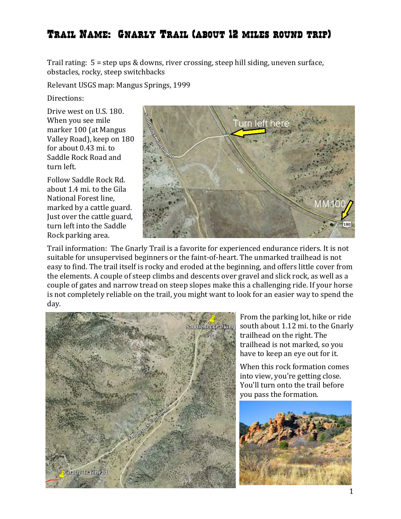Trail rating:  $5 =$  step ups & downs, river crossing, steep hill siding, uneven surface, obstacles, rocky, steep switchbacks

Relevant USGS map: Mangus Springs, 1999

Directions:

Drive west on U.S. 180. When you see mile marker 100 (at Mangus Valley Road), keep on 180 for about 0.43 mi. to Saddle Rock Road and turn left.

Follow Saddle Rock Rd. about 1.4 mi. to the Gila National Forest line, marked by a cattle guard. Just over the cattle guard, turn left into the Saddle Rock parking area.



Trail information: The Gnarly Trail is a favorite for experienced endurance riders. It is not suitable for unsupervised beginners or the faint-of-heart. The unmarked trailhead is not easy to find. The trail itself is rocky and eroded at the beginning, and offers little cover from the elements. A couple of steep climbs and descents over gravel and slick rock, as well as a couple of gates and narrow tread on steep slopes make this a challenging ride. If your horse is not completely reliable on the trail, you might want to look for an easier way to spend the day.



From the parking lot, hike or ride south about 1.12 mi. to the Gnarly trailhead on the right. The trailhead is not marked, so you have to keep an eye out for it.

When this rock formation comes into view, you're getting close. You'll turn onto the trail before you pass the formation.

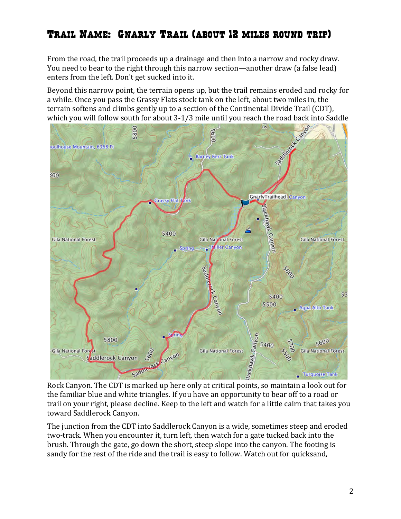From the road, the trail proceeds up a drainage and then into a narrow and rocky draw. You need to bear to the right through this narrow section—another draw (a false lead) enters from the left. Don't get sucked into it.

Beyond this narrow point, the terrain opens up, but the trail remains eroded and rocky for a while. Once you pass the Grassy Flats stock tank on the left, about two miles in, the terrain softens and climbs gently up to a section of the Continental Divide Trail (CDT),



Rock Canyon. The CDT is marked up here only at critical points, so maintain a look out for the familiar blue and white triangles. If you have an opportunity to bear off to a road or trail on your right, please decline. Keep to the left and watch for a little cairn that takes you toward Saddlerock Canyon.

The junction from the CDT into Saddlerock Canyon is a wide, sometimes steep and eroded two-track. When you encounter it, turn left, then watch for a gate tucked back into the brush. Through the gate, go down the short, steep slope into the canyon. The footing is sandy for the rest of the ride and the trail is easy to follow. Watch out for quicksand,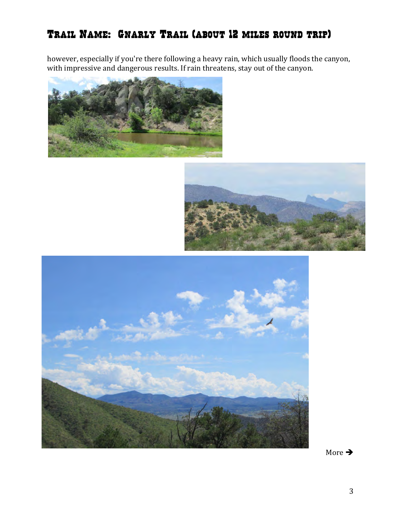however, especially if you're there following a heavy rain, which usually floods the canyon, with impressive and dangerous results. If rain threatens, stay out of the canyon.







More  $\rightarrow$